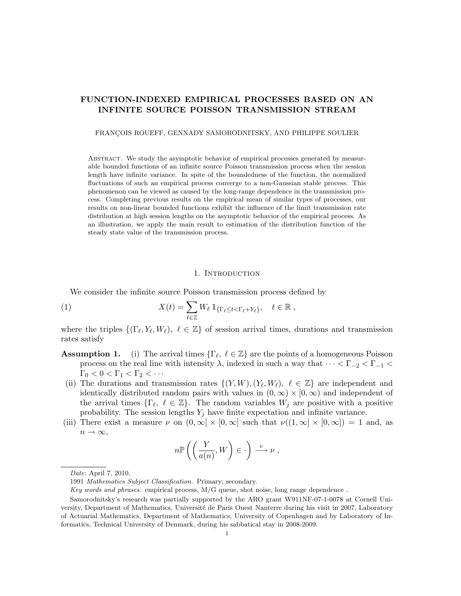# FUNCTION-INDEXED EMPIRICAL PROCESSES BASED ON AN INFINITE SOURCE POISSON TRANSMISSION STREAM

FRANÇOIS ROUEFF, GENNADY SAMORODNITSKY, AND PHILIPPE SOULIER

Abstract. We study the asymptotic behavior of empirical processes generated by measurable bounded functions of an infinite source Poisson transmission process when the session length have infinite variance. In spite of the boundedness of the function, the normalized fluctuations of such an empirical process converge to a non-Gaussian stable process. This phenomenon can be viewed as caused by the long-range dependence in the transmission process. Completing previous results on the empirical mean of similar types of processes, our results on non-linear bounded functions exhibit the influence of the limit transmission rate distribution at high session lengths on the asymptotic behavior of the empirical process. As an illustration, we apply the main result to estimation of the distribution function of the steady state value of the transmission process.

### 1. Introduction

We consider the infinite source Poisson transmission process defined by

<span id="page-0-2"></span>(1) 
$$
X(t) = \sum_{\ell \in \mathbb{Z}} W_{\ell} 1_{\{\Gamma_{\ell} \leq t < \Gamma_{\ell} + Y_{\ell}\}}, \quad t \in \mathbb{R},
$$

where the triples  $\{(\Gamma_\ell, Y_\ell, W_\ell), \ell \in \mathbb{Z}\}\$  of session arrival times, durations and transmission rates satisfy

- <span id="page-0-0"></span>**Assumption 1.** (i) The arrival times  $\{\Gamma_{\ell}, \ell \in \mathbb{Z}\}\$  are the points of a homogeneous Poisson process on the real line with intensity  $\lambda$ , indexed in such a way that  $\cdots < \Gamma_{-2} < \Gamma_{-1} <$  $\Gamma_0 < 0 < \Gamma_1 < \Gamma_2 < \cdots$
- (ii) The durations and transmission rates  $\{(Y, W), (Y_{\ell}, W_{\ell}), \ell \in \mathbb{Z}\}\)$  are independent and identically distributed random pairs with values in  $(0, \infty) \times [0, \infty)$  and independent of the arrival times  $\{\Gamma_\ell, \ell \in \mathbb{Z}\}$ . The random variables  $W_j$  are positive with a positive probability. The session lengths  $Y_j$  have finite expectation and infinite variance.
- <span id="page-0-1"></span>(iii) There exist a measure  $\nu$  on  $(0,\infty] \times [0,\infty]$  such that  $\nu((1,\infty] \times [0,\infty]) = 1$  and, as  $n \to \infty$ ,

$$
n \mathbb{P}\left(\left(\frac{Y}{a(n)}, W\right) \in \cdot\right) \xrightarrow{v} \nu,
$$

Date: April 7, 2010.

<sup>1991</sup> Mathematics Subject Classification. Primary; secondary.

Key words and phrases. empirical process, M/G queue, shot noise, long range dependence .

Samorodnitsky's research was partially supported by the ARO grant W911NF-07-1-0078 at Cornell University, Department of Mathematics, Université de Paris Ouest Nanterre during his visit in 2007, Laboratory of Actuarial Mathematics, Department of Mathematics, University of Copenhagen and by Laboratory of Informatics, Technical University of Denmark, during his sabbatical stay in 2008-2009.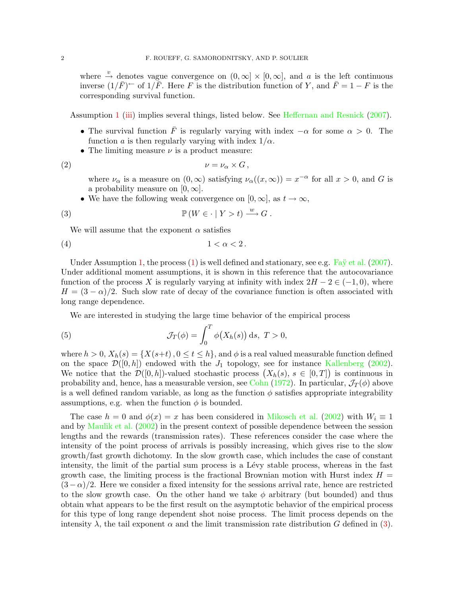where  $\stackrel{v}{\rightarrow}$  denotes vague convergence on  $(0, \infty] \times [0, \infty]$ , and a is the left continuous inverse  $(1/\bar{F})^{\leftarrow}$  of  $1/\bar{F}$ . Here F is the distribution function of Y, and  $\bar{F} = 1 - F$  is the corresponding survival function.

Assumption [1](#page-0-0) [\(iii\)](#page-0-1) implies several things, listed below. See [Heffernan and Resnick](#page-16-0) [\(2007\)](#page-16-0).

- The survival function  $\overline{F}$  is regularly varying with index  $-\alpha$  for some  $\alpha > 0$ . The function a is then regularly varying with index  $1/\alpha$ .
- The limiting measure  $\nu$  is a product measure:

$$
\nu = \nu_{\alpha} \times G \,,
$$

<span id="page-1-2"></span><span id="page-1-0"></span>where  $\nu_{\alpha}$  is a measure on  $(0,\infty)$  satisfying  $\nu_{\alpha}((x,\infty)) = x^{-\alpha}$  for all  $x > 0$ , and G is a probability measure on  $[0, \infty]$ .

• We have the following weak convergence on  $[0, \infty]$ , as  $t \to \infty$ ,

(3) 
$$
\mathbb{P}(W \in \cdot \mid Y > t) \xrightarrow{w} G.
$$

We will assume that the exponent  $\alpha$  satisfies

(4) 1 < α < 2 .

Under Assumption [1,](#page-0-0) the process  $(1)$  is well defined and stationary, see e.g. Fa $\ddot{y}$  et al. [\(2007\)](#page-16-1). Under additional moment assumptions, it is shown in this reference that the autocovariance function of the process X is regularly varying at infinity with index  $2H - 2 \in (-1,0)$ , where  $H = (3 - \alpha)/2$ . Such slow rate of decay of the covariance function is often associated with long range dependence.

<span id="page-1-1"></span>We are interested in studying the large time behavior of the empirical process

(5) 
$$
\mathcal{J}_T(\phi) = \int_0^T \phi(X_h(s)) \, \mathrm{d} s, \ T > 0,
$$

where  $h > 0$ ,  $X_h(s) = \{X(s+t), 0 \le t \le h\}$ , and  $\phi$  is a real valued measurable function defined on the space  $\mathcal{D}([0,h])$  endowed with the  $J_1$  topology, see for instance [Kallenberg](#page-16-2) [\(2002\)](#page-16-2). We notice that the  $\mathcal{D}([0,h])$ -valued stochastic process  $(X_h(s), s \in [0,T])$  is continuous in probability and, hence, has a measurable version, see [Cohn](#page-16-3) [\(1972\)](#page-16-3). In particular,  $\mathcal{J}_T(\phi)$  above is a well defined random variable, as long as the function  $\phi$  satisfies appropriate integrability assumptions, e.g. when the function  $\phi$  is bounded.

The case  $h = 0$  and  $\phi(x) = x$  has been considered in [Mikosch et al.](#page-16-4) [\(2002\)](#page-16-4) with  $W_i \equiv 1$ and by [Maulik et al.](#page-16-5) [\(2002\)](#page-16-5) in the present context of possible dependence between the session lengths and the rewards (transmission rates). These references consider the case where the intensity of the point process of arrivals is possibly increasing, which gives rise to the slow growth/fast growth dichotomy. In the slow growth case, which includes the case of constant intensity, the limit of the partial sum process is a Lévy stable process, whereas in the fast growth case, the limiting process is the fractional Brownian motion with Hurst index  $H =$  $(3-\alpha)/2$ . Here we consider a fixed intensity for the sessions arrival rate, hence are restricted to the slow growth case. On the other hand we take  $\phi$  arbitrary (but bounded) and thus obtain what appears to be the first result on the asymptotic behavior of the empirical process for this type of long range dependent shot noise process. The limit process depends on the intensity  $\lambda$ , the tail exponent  $\alpha$  and the limit transmission rate distribution G defined in [\(3\)](#page-1-0).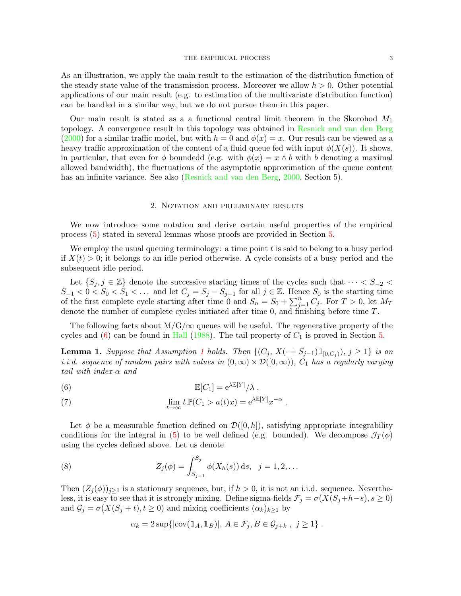As an illustration, we apply the main result to the estimation of the distribution function of the steady state value of the transmission process. Moreover we allow  $h > 0$ . Other potential applications of our main result (e.g. to estimation of the multivariate distribution function) can be handled in a similar way, but we do not pursue them in this paper.

Our main result is stated as a a functional central limit theorem in the Skorohod  $M_1$ topology. A convergence result in this topology was obtained in [Resnick and van den Berg](#page-16-6)  $(2000)$  for a similar traffic model, but with  $h = 0$  and  $\phi(x) = x$ . Our result can be viewed as a heavy traffic approximation of the content of a fluid queue fed with input  $\phi(X(s))$ . It shows, in particular, that even for  $\phi$  boundedd (e.g. with  $\phi(x) = x \wedge b$  with b denoting a maximal allowed bandwidth), the fluctuations of the asymptotic approximation of the queue content has an infinite variance. See also [\(Resnick and van den Berg,](#page-16-6) [2000,](#page-16-6) Section 5).

#### 2. Notation and preliminary results

<span id="page-2-3"></span>We now introduce some notation and derive certain useful properties of the empirical process [\(5\)](#page-1-1) stated in several lemmas whose proofs are provided in Section [5.](#page-6-0)

We employ the usual queuing terminology: a time point  $t$  is said to belong to a busy period if  $X(t) > 0$ ; it belongs to an idle period otherwise. A cycle consists of a busy period and the subsequent idle period.

Let  $\{S_j, j \in \mathbb{Z}\}\$  denote the successive starting times of the cycles such that  $\cdots < S_{-2}$  $S_{-1} < 0 < S_0 < S_1 < \ldots$  and let  $C_j = S_j - S_{j-1}$  for all  $j \in \mathbb{Z}$ . Hence  $S_0$  is the starting time of the first complete cycle starting after time 0 and  $S_n = S_0 + \sum_{j=1}^n C_j$ . For  $T > 0$ , let  $M_T$ denote the number of complete cycles initiated after time 0, and finishing before time T.

The following facts about  $M/G/\infty$  queues will be useful. The regenerative property of the cycles and  $(6)$  can be found in [Hall](#page-16-7) [\(1988\)](#page-16-7). The tail property of  $C_1$  is proved in Section [5.](#page-6-0)

<span id="page-2-1"></span>**Lemma [1](#page-0-0).** Suppose that Assumption 1 holds. Then  $\{(C_j, X(\cdot + S_{j-1})1_{[0,C_j)}), j \geq 1\}$  is an i.i.d. sequence of random pairs with values in  $(0, \infty) \times \mathcal{D}([0, \infty))$ ,  $C_1$  has a regularly varying tail with index  $\alpha$  and

<span id="page-2-0"></span>(6) 
$$
\mathbb{E}[C_1] = e^{\lambda \mathbb{E}[Y]} / \lambda,
$$

<span id="page-2-2"></span>(7) 
$$
\lim_{t \to \infty} t \mathbb{P}(C_1 > a(t)x) = e^{\lambda \mathbb{E}[Y]} x^{-\alpha}.
$$

Let  $\phi$  be a measurable function defined on  $\mathcal{D}([0,h])$ , satisfying appropriate integrability conditions for the integral in [\(5\)](#page-1-1) to be well defined (e.g. bounded). We decompose  $\mathcal{J}_T(\phi)$ using the cycles defined above. Let us denote

(8) 
$$
Z_j(\phi) = \int_{S_{j-1}}^{S_j} \phi(X_h(s)) \, ds, \quad j = 1, 2, \dots
$$

Then  $(Z_i(\phi))_{i>1}$  is a stationary sequence, but, if  $h > 0$ , it is not an i.i.d. sequence. Nevertheless, it is easy to see that it is strongly mixing. Define sigma-fields  $\mathcal{F}_j = \sigma(X(S_j+h-s), s \geq 0)$ and  $\mathcal{G}_j = \sigma(X(S_j + t), t \ge 0)$  and mixing coefficients  $(\alpha_k)_{k \ge 1}$  by

$$
\alpha_k = 2 \sup \{|\text{cov}(\mathbb{1}_A, \mathbb{1}_B)|, A \in \mathcal{F}_j, B \in \mathcal{G}_{j+k}, j \ge 1\}.
$$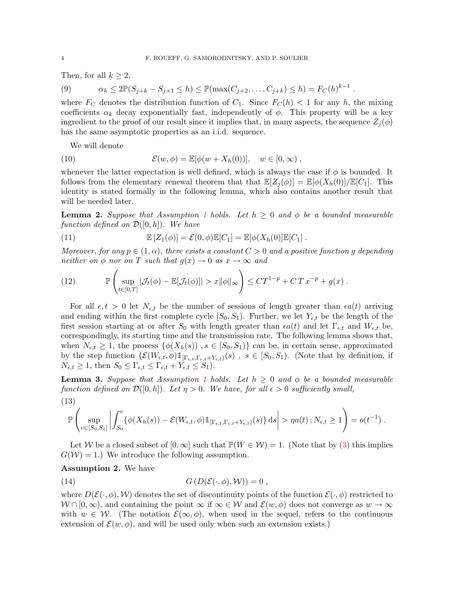Then, for all  $k \geq 2$ ,

<span id="page-3-4"></span>(9)  $\alpha_k \le 2\mathbb{P}(S_{j+k} - S_{j+1} \le h) \le \mathbb{P}(\max(C_{j+2}, \ldots, C_{j+k}) \le h) = F_C(h)^{k-1}.$ 

where  $F_C$  denotes the distribution function of  $C_1$ . Since  $F_C(h) < 1$  for any h, the mixing coefficients  $\alpha_k$  decay exponentially fast, independently of  $\phi$ . This property will be a key ingredient to the proof of our result since it implies that, in many aspects, the sequence  $Z_i(\phi)$ has the same asymptotic properties as an i.i.d. sequence.

We will denote

(10) 
$$
\mathcal{E}(w,\phi) = \mathbb{E}[\phi(w+X_h(0))], \quad w \in [0,\infty),
$$

whenever the latter expectation is well defined, which is always the case if  $\phi$  is bounded. It follows from the elementary renewal theorem that that  $\mathbb{E}[Z_i(\phi)] = \mathbb{E}[\phi(X_h(0)]/\mathbb{E}[C_1].$  This identity is stated formally in the following lemma, which also contains another result that will be needed later.

<span id="page-3-2"></span>**Lemma 2.** Suppose that Assumption [1](#page-0-0) holds. Let  $h \geq 0$  and  $\phi$  be a bounded measurable function defined on  $\mathcal{D}([0,h])$ . We have

<span id="page-3-3"></span>(11) 
$$
\mathbb{E}\left[Z_1(\phi)\right] = \mathcal{E}(0,\phi)\mathbb{E}[C_1] = \mathbb{E}[\phi(X_h(0)]\mathbb{E}[C_1].
$$

Moreover, for any  $p \in (1,\alpha)$ , there exists a constant  $C > 0$  and a positive function g depending neither on  $\phi$  nor on T such that  $g(x) \to 0$  as  $x \to \infty$  and

<span id="page-3-5"></span>(12) 
$$
\mathbb{P}\left(\sup_{t\in[0,T]}|\mathcal{J}_t(\phi)-\mathbb{E}[\mathcal{J}_t(\phi)]|>x\|\phi\|_{\infty}\right)\leq CT^{1-p}+CTx^{-p}+g(x).
$$

For all  $\epsilon, t > 0$  let  $N_{\epsilon,t}$  be the number of sessions of length greater than  $\epsilon a(t)$  arriving and ending within the first complete cycle  $[S_0, S_1]$ . Further, we let  $Y_{\epsilon,t}$  be the length of the first session starting at or after  $S_0$  with length greater than  $\epsilon a(t)$  and let  $\Gamma_{\epsilon,t}$  and  $W_{\epsilon,t}$  be, correspondingly, its starting time and the transmission rate. The following lemma shows that, when  $N_{\epsilon,t} \geq 1$ , the process  $\{\phi(X_h(s))\; , s \in [S_0, S_1)\}\;$  can be, in certain sense, approximated by the step function  $\{\mathcal{E}(W_{\epsilon,t},\overrightarrow{\phi})1_{[\Gamma_{\epsilon,t},\Gamma_{\epsilon,t}+Y_{\epsilon,t})}(s)$ ,  $s \in [S_0,S_1)$ . (Note that by definition, if  $N_{\epsilon,t} \geq 1$ , then  $S_0 \leq \Gamma_{\epsilon,t} \leq \Gamma_{\epsilon,t} + Y_{\epsilon,t} \leq S_1$ .

<span id="page-3-1"></span>**Lemma 3.** Suppose that Assumption [1](#page-0-0) holds. Let  $h \geq 0$  and  $\phi$  be a bounded measurable function defined on  $\mathcal{D}([0,h])$ . Let  $\eta > 0$ . We have, for all  $\epsilon > 0$  sufficiently small, (13)

$$
\mathbb{P}\left(\sup_{v\in[S_0,S_1]}\left|\int_{S_0}^v\{\phi(X_h(s))-\mathcal{E}(W_{\epsilon,t},\phi)\mathbb{1}_{[\Gamma_{\epsilon,t},\Gamma_{\epsilon,t}+Y_{\epsilon,t})}(s)\}\,\mathrm{d} s\right|>\eta a(t)\,;N_{\epsilon,t}\geq 1\right)=o(t^{-1})\;.
$$

Let W be a closed subset of  $[0, \infty]$  such that  $\mathbb{P}(W \in \mathcal{W}) = 1$ . (Note that by [\(3\)](#page-1-0) this implies  $G(W) = 1.$  We introduce the following assumption.

# <span id="page-3-0"></span>Assumption 2. We have

(14) 
$$
G(D(\mathcal{E}(\cdot,\phi),\mathcal{W}))=0,
$$

where  $D(\mathcal{E}(\cdot,\phi),\mathcal{W})$  denotes the set of discontinuity points of the function  $\mathcal{E}(\cdot,\phi)$  restricted to  $W \cap [0, \infty)$ , and containing the point  $\infty$  if  $\infty \in W$  and  $\mathcal{E}(w, \phi)$  does not converge as  $w \to \infty$ with  $w \in \mathcal{W}$ . (The notation  $\mathcal{E}(\infty, \phi)$ , when used in the sequel, refers to the continuous extension of  $\mathcal{E}(w, \phi)$ , and will be used only when such an extension exists.)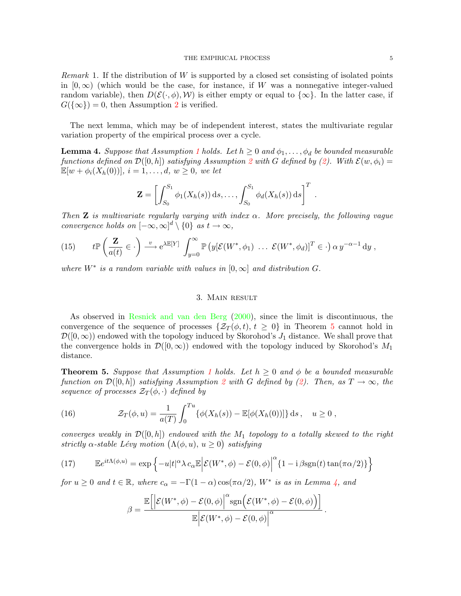<span id="page-4-2"></span>Remark 1. If the distribution of W is supported by a closed set consisting of isolated points in  $[0, \infty)$  (which would be the case, for instance, if W was a nonnegative integer-valued random variable), then  $D(\mathcal{E}(\cdot, \phi), \mathcal{W})$  is either empty or equal to  $\{\infty\}$ . In the latter case, if  $G({\{\infty\}}) = 0$ , then Assumption [2](#page-3-0) is verified.

The next lemma, which may be of independent interest, states the multivariate regular variation property of the empirical process over a cycle.

<span id="page-4-1"></span>**Lemma 4.** Suppose that Assumption [1](#page-0-0) holds. Let  $h \geq 0$  and  $\phi_1, \ldots, \phi_d$  be bounded measurable functions defined on  $\mathcal{D}([0,h])$  satisfying Assumption [2](#page-3-0) with G defined by [\(2\)](#page-1-2). With  $\mathcal{E}(w,\phi_i)$  =  $\mathbb{E}[w + \phi_i(X_h(0))]$ ,  $i = 1, ..., d, w \geq 0$ , we let

$$
\mathbf{Z} = \left[ \int_{S_0}^{S_1} \phi_1(X_h(s)) \, \mathrm{d}s, \ldots, \int_{S_0}^{S_1} \phi_d(X_h(s)) \, \mathrm{d}s \right]^T
$$

.

Then **Z** is multivariate regularly varying with index  $\alpha$ . More precisely, the following vague convergence holds on  $[-\infty,\infty]^d \setminus \{0\}$  as  $t \to \infty$ ,

<span id="page-4-3"></span>(15) 
$$
t\mathbb{P}\left(\frac{\mathbf{Z}}{a(t)}\in\cdot\right)\stackrel{v}{\longrightarrow}e^{\lambda\mathbb{E}[Y]}\int_{y=0}^{\infty}\mathbb{P}\left(y[\mathcal{E}(W^*,\phi_1)\ \dots\ \mathcal{E}(W^*,\phi_d)]^T\in\cdot\right)\alpha y^{-\alpha-1}\,\mathrm{d}y,
$$

where  $W^*$  is a random variable with values in  $[0,\infty]$  and distribution G.

#### 3. Main result

As observed in [Resnick and van den Berg](#page-16-6) [\(2000\)](#page-16-6), since the limit is discontinuous, the convergence of the sequence of processes  $\{\mathcal{Z}_T(\phi,t), t \geq 0\}$  in Theorem [5](#page-4-0) cannot hold in  $\mathcal{D}([0,\infty))$  endowed with the topology induced by Skorohod's  $J_1$  distance. We shall prove that the convergence holds in  $\mathcal{D}([0,\infty))$  endowed with the topology induced by Skorohod's  $M_1$ distance.

<span id="page-4-0"></span>**Theorem 5.** Suppose that Assumption [1](#page-0-0) holds. Let  $h \geq 0$  and  $\phi$  be a bounded measurable function on  $\mathcal{D}([0,h])$  satisfying Assumption [2](#page-3-0) with G defined by [\(2\)](#page-1-2). Then, as  $T \to \infty$ , the sequence of processes  $\mathcal{Z}_T(\phi,\cdot)$  defined by

(16) 
$$
\mathcal{Z}_T(\phi, u) = \frac{1}{a(T)} \int_0^{T_u} {\{\phi(X_h(s)) - \mathbb{E}[\phi(X_h(0))] \} ds, \quad u \ge 0,
$$

converges weakly in  $\mathcal{D}([0,h])$  endowed with the  $M_1$  topology to a totally skewed to the right strictly  $\alpha$ -stable Lévy motion  $(\Lambda(\phi, u), u \geq 0)$  satisfying

<span id="page-4-4"></span>(17) 
$$
\mathbb{E}e^{it\Lambda(\phi,u)} = \exp\left\{-u|t|^{\alpha}\lambda c_{\alpha}\mathbb{E}\left|\mathcal{E}(W^*,\phi) - \mathcal{E}(0,\phi)\right|^{\alpha}\left\{1 - i\beta\mathrm{sgn}(t)\tan(\pi\alpha/2)\right\}\right\}
$$

for  $u \geq 0$  and  $t \in \mathbb{R}$ , where  $c_{\alpha} = -\Gamma(1-\alpha)\cos(\pi \alpha/2)$ ,  $W^*$  is as in Lemma [4,](#page-4-1) and

$$
\beta = \frac{\mathbb{E}\left[\left|\mathcal{E}(W^*,\phi) - \mathcal{E}(0,\phi)\right|^\alpha \mathrm{sgn}\Big(\mathcal{E}(W^*,\phi) - \mathcal{E}(0,\phi)\Big)\right]}{\mathbb{E}\Big|\mathcal{E}(W^*,\phi) - \mathcal{E}(0,\phi)\Big|^\alpha}.
$$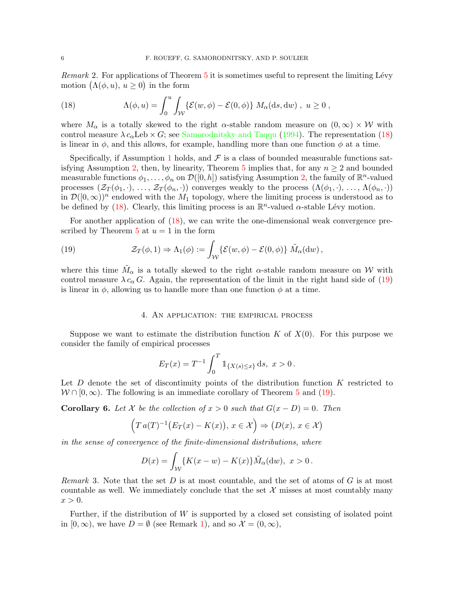*Remark* 2. For applications of Theorem  $5$  it is sometimes useful to represent the limiting Lévy motion  $(\Lambda(\phi, u), u \ge 0)$  in the form

<span id="page-5-0"></span>(18) 
$$
\Lambda(\phi, u) = \int_0^u \int_{\mathcal{W}} \{ \mathcal{E}(w, \phi) - \mathcal{E}(0, \phi) \} M_\alpha(ds, dw) , u \ge 0 ,
$$

where  $M_{\alpha}$  is a totally skewed to the right  $\alpha$ -stable random measure on  $(0,\infty) \times W$  with control measure  $\lambda c_{\alpha}$ Leb  $\times G$ ; see [Samorodnitsky and Taqqu](#page-16-8) [\(1994\)](#page-16-8). The representation [\(18\)](#page-5-0) is linear in  $\phi$ , and this allows, for example, handling more than one function  $\phi$  at a time.

Specifically, if Assumption [1](#page-0-0) holds, and  $\mathcal F$  is a class of bounded measurable functions sat-isfying Assumption [2,](#page-3-0) then, by linearity, Theorem [5](#page-4-0) implies that, for any  $n \geq 2$  and bounded measurable functions  $\phi_1, \ldots, \phi_n$  on  $\mathcal{D}([0, h])$  satisfying Assumption [2,](#page-3-0) the family of  $\mathbb{R}^n$ -valued processes  $(\mathcal{Z}_T(\phi_1,\cdot),\ldots,\mathcal{Z}_T(\phi_n,\cdot))$  converges weakly to the process  $(\Lambda(\phi_1,\cdot),\ldots,\Lambda(\phi_n,\cdot))$ in  $\mathcal{D}([0,\infty))^n$  endowed with the  $M_1$  topology, where the limiting process is understood as to be defined by [\(18\)](#page-5-0). Clearly, this limiting process is an  $\mathbb{R}^n$ -valued  $\alpha$ -stable Lévy motion.

For another application of  $(18)$ , we can write the one-dimensional weak convergence pre-scribed by Theorem [5](#page-4-0) at  $u = 1$  in the form

<span id="page-5-1"></span>(19) 
$$
\mathcal{Z}_T(\phi,1) \Rightarrow \Lambda_1(\phi) := \int_{\mathcal{W}} \{ \mathcal{E}(w,\phi) - \mathcal{E}(0,\phi) \} \, \tilde{M}_\alpha(\mathrm{d}w),
$$

where this time  $\tilde{M}_{\alpha}$  is a totally skewed to the right  $\alpha$ -stable random measure on W with control measure  $\lambda c_{\alpha} G$ . Again, the representation of the limit in the right hand side of [\(19\)](#page-5-1) is linear in  $\phi$ , allowing us to handle more than one function  $\phi$  at a time.

#### 4. An application: the empirical process

Suppose we want to estimate the distribution function  $K$  of  $X(0)$ . For this purpose we consider the family of empirical processes

$$
E_T(x) = T^{-1} \int_0^T \mathbb{1}_{\{X(s) \le x\}} ds, \ x > 0.
$$

Let  $D$  denote the set of discontinuity points of the distribution function  $K$  restricted to  $W \cap [0, \infty)$ . The following is an immediate corollary of Theorem [5](#page-4-0) and [\(19\)](#page-5-1).

<span id="page-5-2"></span>**Corollary 6.** Let X be the collection of  $x > 0$  such that  $G(x - D) = 0$ . Then

$$
(T a(T)^{-1} (E_T(x) - K(x)), x \in \mathcal{X}) \Rightarrow (D(x), x \in \mathcal{X})
$$

in the sense of convergence of the finite-dimensional distributions, where

$$
D(x) = \int_{\mathcal{W}} \{ K(x - w) - K(x) \} \tilde{M}_{\alpha}(\mathrm{d}w), \ x > 0.
$$

Remark 3. Note that the set D is at most countable, and the set of atoms of G is at most countable as well. We immediately conclude that the set  $\mathcal X$  misses at most countably many  $x > 0$ .

Further, if the distribution of W is supported by a closed set consisting of isolated point in  $[0, \infty)$ , we have  $D = \emptyset$  (see Remark [1\)](#page-4-2), and so  $\mathcal{X} = (0, \infty)$ ,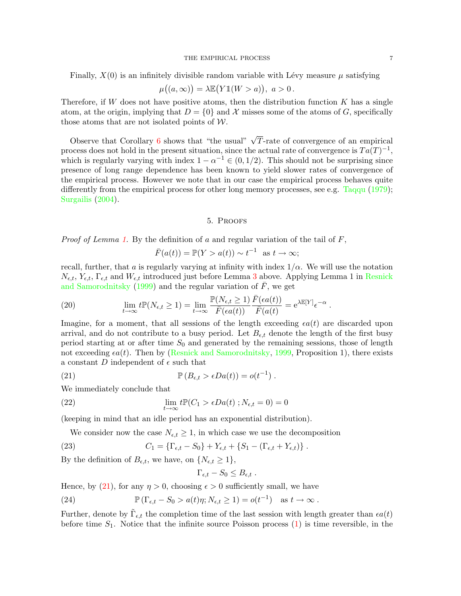Finally,  $X(0)$  is an infinitely divisible random variable with Lévy measure  $\mu$  satisfying

$$
\mu((a,\infty)) = \lambda \mathbb{E}(Y1(W > a)), \ a > 0.
$$

Therefore, if W does not have positive atoms, then the distribution function  $K$  has a single atom, at the origin, implying that  $D = \{0\}$  and X misses some of the atoms of G, specifically those atoms that are not isolated points of  $W$ .

Observe that Corollary [6](#page-5-2) shows that "the usual"  $\sqrt{T}$ -rate of convergence of an empirical process does not hold in the present situation, since the actual rate of convergence is  $Ta(T)^{-1}$ , which is regularly varying with index  $1 - \alpha^{-1} \in (0, 1/2)$ . This should not be surprising since presence of long range dependence has been known to yield slower rates of convergence of the empirical process. However we note that in our case the empirical process behaves quite differently from the empirical process for other long memory processes, see e.g. [Taqqu](#page-16-9) [\(1979\)](#page-16-9); [Surgailis](#page-16-10) [\(2004\)](#page-16-10).

#### 5. Proofs

<span id="page-6-0"></span>*Proof of Lemma [1.](#page-2-1)* By the definition of a and regular variation of the tail of  $F$ ,

$$
\bar{F}(a(t)) = \mathbb{P}(Y > a(t)) \sim t^{-1} \text{ as } t \to \infty;
$$

recall, further, that a is regularly varying at infinity with index  $1/\alpha$ . We will use the notation  $N_{\epsilon,t}$ ,  $Y_{\epsilon,t}$ ,  $\Gamma_{\epsilon,t}$  and  $W_{\epsilon,t}$  introduced just before Lemma [3](#page-3-1) above. Applying Lemma 1 in [Resnick](#page-16-11) [and Samorodnitsky](#page-16-11) [\(1999\)](#page-16-11) and the regular variation of  $\bar{F}$ , we get

<span id="page-6-5"></span>(20) 
$$
\lim_{t \to \infty} t \mathbb{P}(N_{\epsilon,t} \ge 1) = \lim_{t \to \infty} \frac{\mathbb{P}(N_{\epsilon,t} \ge 1)}{\overline{F}(\epsilon a(t))} \frac{\overline{F}(\epsilon a(t))}{\overline{F}(a(t))} = e^{\lambda \mathbb{E}[Y]} \epsilon^{-\alpha}.
$$

Imagine, for a moment, that all sessions of the length exceeding  $\epsilon a(t)$  are discarded upon arrival, and do not contribute to a busy period. Let  $B_{\epsilon,t}$  denote the length of the first busy period starting at or after time  $S_0$  and generated by the remaining sessions, those of length not exceeding  $\epsilon a(t)$ . Then by [\(Resnick and Samorodnitsky,](#page-16-11) [1999,](#page-16-11) Proposition 1), there exists a constant D independent of  $\epsilon$  such that

(21) 
$$
\mathbb{P}\left(B_{\epsilon,t} > \epsilon Da(t)\right) = o(t^{-1}).
$$

We immediately conclude that

<span id="page-6-2"></span>(22) 
$$
\lim_{t \to \infty} t \mathbb{P}(C_1 > \epsilon Da(t) ; N_{\epsilon,t} = 0) = 0
$$

(keeping in mind that an idle period has an exponential distribution).

We consider now the case  $N_{\epsilon,t} \geq 1$ , in which case we use the decomposition

(23) 
$$
C_1 = \{\Gamma_{\epsilon,t} - S_0\} + Y_{\epsilon,t} + \{S_1 - (\Gamma_{\epsilon,t} + Y_{\epsilon,t})\}.
$$

By the definition of  $B_{\epsilon,t}$ , we have, on  $\{N_{\epsilon,t} \geq 1\}$ ,

<span id="page-6-4"></span><span id="page-6-3"></span><span id="page-6-1"></span>
$$
\Gamma_{\epsilon,t} - S_0 \leq B_{\epsilon,t} .
$$

Hence, by [\(21\)](#page-6-1), for any  $\eta > 0$ , choosing  $\epsilon > 0$  sufficiently small, we have

(24) 
$$
\mathbb{P}(\Gamma_{\epsilon,t} - S_0 > a(t)\eta; N_{\epsilon,t} \ge 1) = o(t^{-1}) \text{ as } t \to \infty.
$$

Further, denote by  $\tilde{\Gamma}_{\epsilon,t}$  the completion time of the last session with length greater than  $\epsilon a(t)$ before time  $S_1$ . Notice that the infinite source Poisson process  $(1)$  is time reversible, in the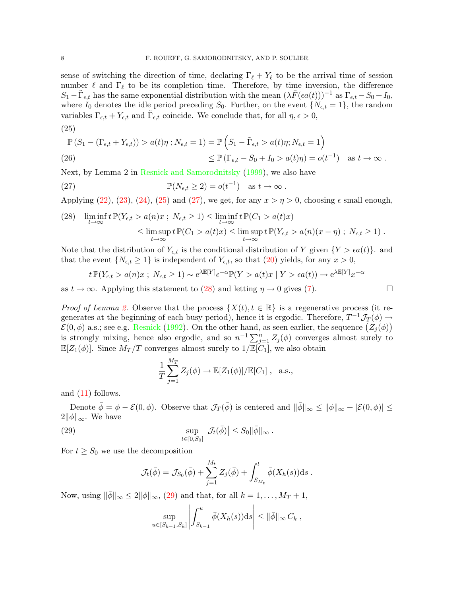sense of switching the direction of time, declaring  $\Gamma_\ell + Y_\ell$  to be the arrival time of session number  $\ell$  and  $\Gamma_\ell$  to be its completion time. Therefore, by time inversion, the difference  $S_1 - \tilde{\Gamma}_{\epsilon,t}$  has the same exponential distribution with the mean  $(\lambda \bar{F}(\epsilon a(t)))^{-1}$  as  $\Gamma_{\epsilon,t} - S_0 + I_0$ , where  $I_0$  denotes the idle period preceding  $S_0$ . Further, on the event  $\{N_{\epsilon,t} = 1\}$ , the random variables  $\Gamma_{\epsilon,t} + Y_{\epsilon,t}$  and  $\tilde{\Gamma}_{\epsilon,t}$  coincide. We conclude that, for all  $\eta, \epsilon > 0$ ,

$$
\mathbb{P}\left(S_1 - (\Gamma_{\epsilon,t} + Y_{\epsilon,t})\right) > a(t)\eta \; ; N_{\epsilon,t} = 1) = \mathbb{P}\left(S_1 - \tilde{\Gamma}_{\epsilon,t} > a(t)\eta \; ; N_{\epsilon,t} = 1\right) \\
\leq \mathbb{P}\left(\Gamma_{\epsilon,t} - S_0 + I_0 > a(t)\eta\right) = o(t^{-1}) \quad \text{as } t \to \infty \; .
$$

Next, by Lemma 2 in [Resnick and Samorodnitsky](#page-16-11) [\(1999\)](#page-16-11), we also have

<span id="page-7-1"></span>(27) 
$$
\mathbb{P}(N_{\epsilon,t} \geq 2) = o(t^{-1}) \text{ as } t \to \infty.
$$

Applying  $(22)$ ,  $(23)$ ,  $(24)$ ,  $(25)$  and  $(27)$ , we get, for any  $x > \eta > 0$ , choosing  $\epsilon$  small enough,

<span id="page-7-2"></span>(28) 
$$
\liminf_{t \to \infty} t \mathbb{P}(Y_{\epsilon,t} > a(n)x ; N_{\epsilon,t} \ge 1) \le \liminf_{t \to \infty} t \mathbb{P}(C_1 > a(t)x)
$$
  

$$
\le \limsup_{t \to \infty} t \mathbb{P}(C_1 > a(t)x) \le \limsup_{t \to \infty} t \mathbb{P}(Y_{\epsilon,t} > a(n)(x - \eta) ; N_{\epsilon,t} \ge 1).
$$

Note that the distribution of  $Y_{\epsilon,t}$  is the conditional distribution of Y given  $\{Y > \epsilon a(t)\}\$ . and that the event  $\{N_{\epsilon,t} \geq 1\}$  is independent of  $Y_{\epsilon,t}$ , so that [\(20\)](#page-6-5) yields, for any  $x > 0$ ,

$$
t \mathbb{P}(Y_{\epsilon,t} > a(n)x ; N_{\epsilon,t} \ge 1) \sim e^{\lambda \mathbb{E}[Y]} \epsilon^{-\alpha} \mathbb{P}(Y > a(t)x | Y > \epsilon a(t)) \to e^{\lambda \mathbb{E}[Y]} x^{-\alpha}
$$

as  $t \to \infty$ . Applying this statement to [\(28\)](#page-7-2) and letting  $\eta \to 0$  gives [\(7\)](#page-2-2).

*Proof of Lemma [2.](#page-3-2)* Observe that the process  $\{X(t), t \in \mathbb{R}\}\$ is a regenerative process (it regenerates at the beginning of each busy period), hence it is ergodic. Therefore,  $T^{-1} \mathcal{J}_T(\phi) \rightarrow$  $\mathcal{E}(0,\phi)$  a.s.; see e.g. [Resnick](#page-16-12) [\(1992\)](#page-16-12). On the other hand, as seen earlier, the sequence  $(Z_j(\phi))$ is strongly mixing, hence also ergodic, and so  $n^{-1} \sum_{j=1}^{n} Z_j(\phi)$  converges almost surely to  $\mathbb{E}[Z_1(\phi)]$ . Since  $M_T/T$  converges almost surely to  $1/\mathbb{E}[C_1]$ , we also obtain

$$
\frac{1}{T}\sum_{j=1}^{M_T} Z_j(\phi) \to \mathbb{E}[Z_1(\phi)]/\mathbb{E}[C_1], \text{ a.s.},
$$

and [\(11\)](#page-3-3) follows.

Denote  $\bar{\phi} = \phi - \mathcal{E}(0, \phi)$ . Observe that  $\mathcal{J}_T(\bar{\phi})$  is centered and  $\|\bar{\phi}\|_{\infty} \le \|\phi\|_{\infty} + |\mathcal{E}(0, \phi)| \le$  $2\|\phi\|_{\infty}$ . We have

(29) 
$$
\sup_{t\in[0,S_0]}|\mathcal{J}_t(\bar{\phi})| \leq S_0 \|\bar{\phi}\|_{\infty}.
$$

For  $t \geq S_0$  we use the decomposition

<span id="page-7-3"></span>
$$
\mathcal{J}_t(\bar{\phi}) = \mathcal{J}_{S_0}(\bar{\phi}) + \sum_{j=1}^{M_t} Z_j(\bar{\phi}) + \int_{S_{M_t}}^t \bar{\phi}(X_h(s)) \mathrm{d} s.
$$

Now, using  $\|\bar{\phi}\|_{\infty} \leq 2\|\phi\|_{\infty}$ , [\(29\)](#page-7-3) and that, for all  $k = 1, \ldots, M_T + 1$ ,

$$
\sup_{u \in [S_{k-1}, S_k]} \left| \int_{S_{k-1}}^u \bar{\phi}(X_h(s)) \mathrm{d} s \right| \leq ||\bar{\phi}||_{\infty} C_k,
$$

<span id="page-7-0"></span>(25)

$$
\Box
$$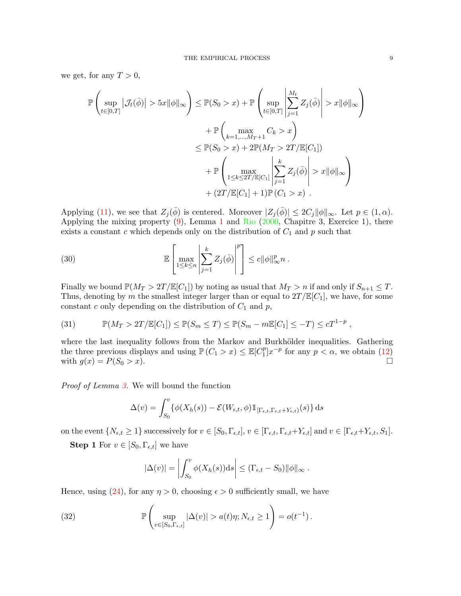we get, for any  $T > 0$ ,

$$
\mathbb{P}\left(\sup_{t\in[0,T]}|\mathcal{J}_t(\bar{\phi})| > 5x\|\phi\|_{\infty}\right) \leq \mathbb{P}(S_0 > x) + \mathbb{P}\left(\sup_{t\in[0,T]} \left|\sum_{j=1}^{M_t} Z_j(\bar{\phi})\right| > x\|\phi\|_{\infty}\right) \n+ \mathbb{P}\left(\max_{k=1,\dots,M_T+1} C_k > x\right) \n\leq \mathbb{P}(S_0 > x) + 2\mathbb{P}(M_T > 2T/\mathbb{E}[C_1]) \n+ \mathbb{P}\left(\max_{1\leq k\leq 2T/\mathbb{E}[C_1]} \left|\sum_{j=1}^k Z_j(\bar{\phi})\right| > x\|\phi\|_{\infty}\right) \n+ (2T/\mathbb{E}[C_1] + 1)\mathbb{P}(C_1 > x).
$$

Applying [\(11\)](#page-3-3), we see that  $Z_j(\bar{\phi})$  is centered. Moreover  $|Z_j(\bar{\phi})| \leq 2C_j \|\phi\|_{\infty}$ . Let  $p \in (1, \alpha)$ . Applying the mixing property  $(9)$ , Lemma [1](#page-2-1) and [Rio](#page-16-13)  $(2000,$  Chapitre 3, Exercice 1), there exists a constant c which depends only on the distribution of  $C_1$  and p such that

(30) 
$$
\mathbb{E}\left[\max_{1\leq k\leq n}\left|\sum_{j=1}^k Z_j(\bar{\phi})\right|^p\right] \leq c\|\phi\|_{\infty}^p n.
$$

Finally we bound  $\mathbb{P}(M_T > 2T/\mathbb{E}[C_1])$  by noting as usual that  $M_T > n$  if and only if  $S_{n+1} \leq T$ . Thus, denoting by m the smallest integer larger than or equal to  $2T/\mathbb{E}[C_1]$ , we have, for some constant c only depending on the distribution of  $C_1$  and p,

<span id="page-8-1"></span>(31) 
$$
\mathbb{P}(M_T > 2T/\mathbb{E}[C_1]) \leq \mathbb{P}(S_m \leq T) \leq \mathbb{P}(S_m - m\mathbb{E}[C_1] \leq -T) \leq cT^{1-p},
$$

where the last inequality follows from the Markov and Burkhölder inequalities. Gathering the three previous displays and using  $\mathbb{P}\left(C_1 > x\right) \leq \mathbb{E}[C_1^p]$  $_{1}^{p}$ ] $x^{-p}$  for any  $p < \alpha$ , we obtain [\(12\)](#page-3-5) with  $g(x) = P(S_0 > x)$ .

Proof of Lemma [3.](#page-3-1) We will bound the function

$$
\Delta(v) = \int_{S_0}^{v} {\{\phi(X_h(s)) - \mathcal{E}(W_{\epsilon,t}, \phi)1\!\!1_{\left[\Gamma_{\epsilon,t}, \Gamma_{\epsilon,t} + Y_{\epsilon,t}\right)}(s)\} ds}
$$

on the event  $\{N_{\epsilon,t} \geq 1\}$  successively for  $v \in [S_0, \Gamma_{\epsilon,t}], v \in [\Gamma_{\epsilon,t}, \Gamma_{\epsilon,t}+Y_{\epsilon,t}]$  and  $v \in [\Gamma_{\epsilon,t}+Y_{\epsilon,t}, S_1].$ 

**Step 1** For  $v \in [S_0, \Gamma_{\epsilon,t}]$  we have

<span id="page-8-0"></span>
$$
|\Delta(v)| = \left| \int_{S_0}^v \phi(X_h(s)) \mathrm{d} s \right| \leq (\Gamma_{\epsilon,t} - S_0) ||\phi||_{\infty}.
$$

Hence, using [\(24\)](#page-6-4), for any  $\eta > 0$ , choosing  $\epsilon > 0$  sufficiently small, we have

(32) 
$$
\mathbb{P}\left(\sup_{v\in [S_0,\Gamma_{\epsilon,t}]}|\Delta(v)|>a(t)\eta;N_{\epsilon,t}\geq 1\right)=o(t^{-1}).
$$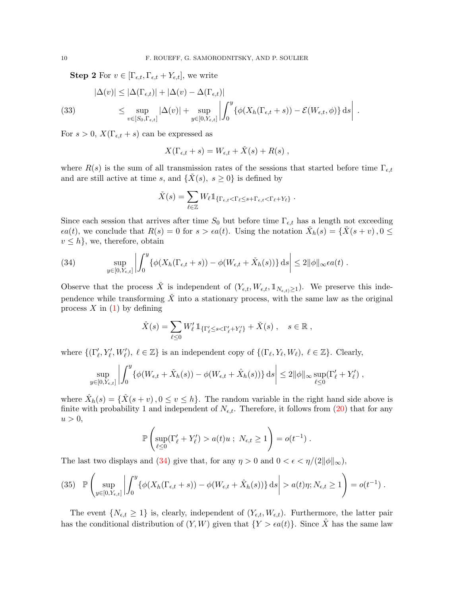**Step 2** For  $v \in [\Gamma_{\epsilon,t}, \Gamma_{\epsilon,t} + Y_{\epsilon,t}],$  we write

<span id="page-9-2"></span>(33) 
$$
|\Delta(v)| \leq |\Delta(\Gamma_{\epsilon,t})| + |\Delta(v) - \Delta(\Gamma_{\epsilon,t})|
$$

$$
\leq \sup_{v \in [S_0, \Gamma_{\epsilon,t}]} |\Delta(v)| + \sup_{y \in [0, Y_{\epsilon,t}]} \left| \int_0^y {\{\phi(X_h(\Gamma_{\epsilon,t} + s)) - \mathcal{E}(W_{\epsilon,t}, \phi)\} ds} \right|.
$$

For  $s > 0$ ,  $X(\Gamma_{\epsilon,t} + s)$  can be expressed as

$$
X(\Gamma_{\epsilon,t} + s) = W_{\epsilon,t} + \check{X}(s) + R(s) ,
$$

where  $R(s)$  is the sum of all transmission rates of the sessions that started before time  $\Gamma_{\epsilon,t}$ and are still active at time s, and  $\{\check{X}(s), s \geq 0\}$  is defined by

$$
\check{X}(s) = \sum_{\ell \in \mathbb{Z}} W_{\ell} \mathbb{1}_{\{\Gamma_{\epsilon,t} < \Gamma_{\ell} \leq s + \Gamma_{\epsilon,t} < \Gamma_{\ell} + Y_{\ell}\}}.
$$

Since each session that arrives after time  $S_0$  but before time  $\Gamma_{\epsilon,t}$  has a length not exceeding  $\epsilon a(t)$ , we conclude that  $R(s) = 0$  for  $s > \epsilon a(t)$ . Using the notation  $\check{X}_h(s) = {\{\check{X}(s+v), 0 \leq s \}}$  $v \leq h$ , we, therefore, obtain

<span id="page-9-0"></span>(34) 
$$
\sup_{y\in[0,Y_{\epsilon,t}]}\left|\int_0^y \{\phi(X_h(\Gamma_{\epsilon,t}+s))-\phi(W_{\epsilon,t}+\check{X}_h(s))\}\,\mathrm{d} s\right|\leq 2\|\phi\|_{\infty}\epsilon a(t)\;.
$$

Observe that the process X<sup> $\check{X}$ </sup> is independent of  $(Y_{\epsilon,t}, W_{\epsilon,t}, \mathbb{1}_{N_{\epsilon,t}})$ . We preserve this independence while transforming  $\check{X}$  into a stationary process, with the same law as the original process  $X$  in [\(1\)](#page-0-2) by defining

$$
\hat{X}(s) = \sum_{\ell \leq 0} W'_{\ell} 1\!\!1_{ \{\Gamma'_{\ell} \leq s < \Gamma'_{\ell} + Y'_{\ell} \}} + \check{X}(s) \ , \quad s \in \mathbb{R} \ ,
$$

where  $\{(\Gamma'_\ell, Y'_\ell, W'_\ell), \ell \in \mathbb{Z}\}$  is an independent copy of  $\{(\Gamma_\ell, Y_\ell, W_\ell), \ell \in \mathbb{Z}\}$ . Clearly,

$$
\sup_{y\in[0,Y_{\epsilon,t}]}\left|\int_0^y \{\phi(W_{\epsilon,t}+\check{X}_h(s))-\phi(W_{\epsilon,t}+\hat{X}_h(s))\}\,\mathrm{d} s\right|\leq 2\|\phi\|_{\infty}\sup_{\ell\leq 0}(\Gamma'_{\ell}+Y'_{\ell})\;,
$$

where  $\hat{X}_h(s) = \{\hat{X}(s+v), 0 \le v \le h\}$ . The random variable in the right hand side above is finite with probability 1 and independent of  $N_{\epsilon,t}$ . Therefore, it follows from [\(20\)](#page-6-5) that for any  $u > 0$ ,

$$
\mathbb{P}\left(\sup_{\ell \leq 0} (\Gamma'_{\ell} + Y'_{\ell}) > a(t)u ; N_{\epsilon,t} \geq 1\right) = o(t^{-1}).
$$

The last two displays and [\(34\)](#page-9-0) give that, for any  $\eta > 0$  and  $0 < \epsilon < \eta/(2||\phi||_{\infty})$ ,

<span id="page-9-1"></span>
$$
(35) \quad \mathbb{P}\left(\sup_{y\in[0,Y_{\epsilon,t}]}\left|\int_0^y \{\phi(X_h(\Gamma_{\epsilon,t}+s))-\phi(W_{\epsilon,t}+\hat{X}_h(s))\}\,\mathrm{d} s\right|>a(t)\eta;N_{\epsilon,t}\geq 1\right)=o(t^{-1})\;.
$$

The event  $\{N_{\epsilon,t} \geq 1\}$  is, clearly, independent of  $(Y_{\epsilon,t}, W_{\epsilon,t})$ . Furthermore, the latter pair has the conditional distribution of  $(Y, W)$  given that  $\{Y > \epsilon a(t)\}\$ . Since X has the same law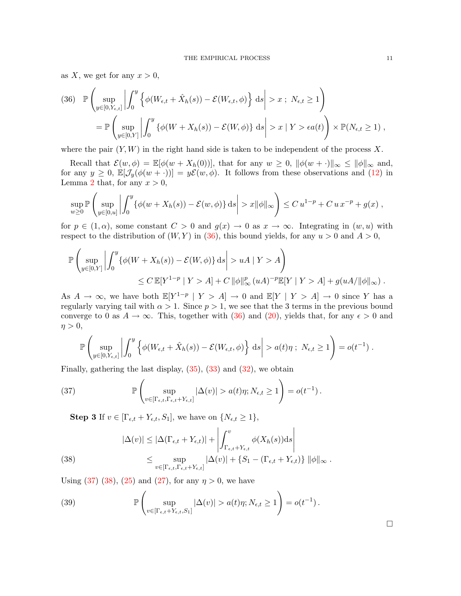as X, we get for any  $x > 0$ ,

<span id="page-10-0"></span>
$$
(36) \mathbb{P}\left(\sup_{y\in[0,Y_{\epsilon,t}]}\left|\int_0^y \left\{\phi(W_{\epsilon,t}+\hat{X}_h(s))-\mathcal{E}(W_{\epsilon,t},\phi)\right\}ds\right|>x; N_{\epsilon,t}\geq 1\right)
$$
  

$$
=\mathbb{P}\left(\sup_{y\in[0,Y]}\left|\int_0^y \left\{\phi(W+X_h(s))-\mathcal{E}(W,\phi)\right\}ds\right|>x|Y>\epsilon a(t)\right)\times\mathbb{P}(N_{\epsilon,t}\geq 1),
$$

where the pair  $(Y, W)$  in the right hand side is taken to be independent of the process X.

Recall that  $\mathcal{E}(w, \phi) = \mathbb{E}[\phi(w + X_h(0))]$ , that for any  $w \geq 0$ ,  $\|\phi(w + \cdot)\|_{\infty} \leq \|\phi\|_{\infty}$  and, for any  $y \ge 0$ ,  $\mathbb{E}[\mathcal{J}_y(\phi(w+\cdot))] = y\mathcal{E}(w,\phi)$ . It follows from these observations and [\(12\)](#page-3-5) in Lemma [2](#page-3-2) that, for any  $x > 0$ ,

$$
\sup_{w\geq 0} \mathbb{P}\left(\sup_{y\in[0,u]} \left| \int_0^y \{\phi(w+X_h(s)) - \mathcal{E}(w,\phi)\} ds \right| > x \|\phi\|_{\infty} \right) \leq C u^{1-p} + C u x^{-p} + g(x) ,
$$

for  $p \in (1, \alpha)$ , some constant  $C > 0$  and  $g(x) \to 0$  as  $x \to \infty$ . Integrating in  $(w, u)$  with respect to the distribution of  $(W, Y)$  in  $(36)$ , this bound yields, for any  $u > 0$  and  $A > 0$ ,

$$
\mathbb{P}\left(\sup_{y\in[0,Y]}\left|\int_0^y \{\phi(W+X_h(s))-\mathcal{E}(W,\phi)\} ds\right|>uA\mid Y>A\right)
$$
  

$$
\leq C\mathbb{E}[Y^{1-p}\mid Y>A]+C\|\phi\|_{\infty}^p(uA)^{-p}\mathbb{E}[Y\mid Y>A]+g(uA/\|\phi\|_{\infty}).
$$

As  $A \to \infty$ , we have both  $\mathbb{E}[Y^{1-p} | Y > A] \to 0$  and  $\mathbb{E}[Y | Y > A] \to 0$  since Y has a regularly varying tail with  $\alpha > 1$ . Since  $p > 1$ , we see that the 3 terms in the previous bound converge to 0 as  $A \to \infty$ . This, together with [\(36\)](#page-10-0) and [\(20\)](#page-6-5), yields that, for any  $\epsilon > 0$  and  $\eta > 0$ ,

$$
\mathbb{P}\left(\sup_{y\in[0,Y_{\epsilon,t}]}\left|\int_0^y \left\{\phi(W_{\epsilon,t}+\hat{X}_h(s))-\mathcal{E}(W_{\epsilon,t},\phi)\right\}ds\right|>a(t)\eta\ ;\ N_{\epsilon,t}\geq 1\right)=o(t^{-1})\ .
$$

Finally, gathering the last display,  $(35)$ ,  $(33)$  and  $(32)$ , we obtain

(37) 
$$
\mathbb{P}\left(\sup_{v\in[\Gamma_{\epsilon,t},\Gamma_{\epsilon,t}+Y_{\epsilon,t}]}|\Delta(v)|>a(t)\eta;N_{\epsilon,t}\geq 1\right)=o(t^{-1}).
$$

<span id="page-10-1"></span>**Step 3** If  $v \in [\Gamma_{\epsilon,t} + Y_{\epsilon,t}, S_1]$ , we have on  $\{N_{\epsilon,t} \geq 1\}$ ,

<span id="page-10-2"></span>(38) 
$$
|\Delta(v)| \leq |\Delta(\Gamma_{\epsilon,t} + Y_{\epsilon,t})| + \left| \int_{\Gamma_{\epsilon,t} + Y_{\epsilon,t}}^{v} \phi(X_h(s))ds \right|
$$

$$
\leq \sup_{v \in [\Gamma_{\epsilon,t}, \Gamma_{\epsilon,t} + Y_{\epsilon,t}]} |\Delta(v)| + \left\{ S_1 - (\Gamma_{\epsilon,t} + Y_{\epsilon,t}) \right\} ||\phi||_{\infty}.
$$

Using [\(37\)](#page-10-1) [\(38\)](#page-10-2), [\(25\)](#page-7-0) and [\(27\)](#page-7-1), for any  $\eta > 0$ , we have

(39) 
$$
\mathbb{P}\left(\sup_{v\in[\Gamma_{\epsilon,t}+Y_{\epsilon,t},S_1]}|\Delta(v)|>a(t)\eta;N_{\epsilon,t}\geq 1\right)=o(t^{-1}).
$$

 $\Box$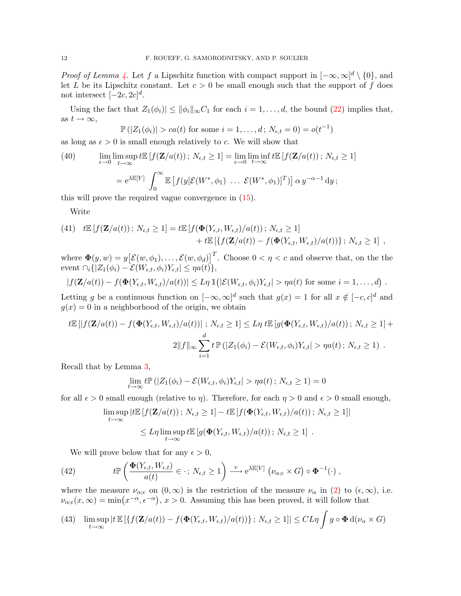*Proof of Lemma [4.](#page-4-1)* Let f a Lipschitz function with compact support in  $[-\infty, \infty]^d \setminus \{0\}$ , and let L be its Lipschitz constant. Let  $c > 0$  be small enough such that the support of f does not intersect  $[-2c, 2c]^d$ .

Using the fact that  $Z_1(\phi_i) \le ||\phi_i||_{\infty}C_1$  for each  $i = 1, \ldots, d$ , the bound [\(22\)](#page-6-2) implies that, as  $t \to \infty$ ,

<span id="page-11-3"></span>
$$
\mathbb{P}(|Z_1(\phi_i)| > ca(t)
$$
 for some  $i = 1, ..., d$ ;  $N_{\epsilon,t} = 0) = o(t^{-1})$ 

as long as  $\epsilon > 0$  is small enough relatively to c. We will show that

(40) 
$$
\lim_{\epsilon \to 0} \limsup_{t \to \infty} t \mathbb{E} [f(\mathbf{Z}/a(t)); N_{\epsilon,t} \ge 1] = \lim_{\epsilon \to 0} \liminf_{t \to \infty} t \mathbb{E} [f(\mathbf{Z}/a(t)); N_{\epsilon,t} \ge 1]
$$

$$
= e^{\lambda \mathbb{E}[Y]} \int_0^\infty \mathbb{E} [f(y[\mathcal{E}(W^*, \phi_1) \dots \mathcal{E}(W^*, \phi_1)]^T)] \alpha y^{-\alpha - 1} dy;
$$

this will prove the required vague convergence in [\(15\)](#page-4-3).

Write

<span id="page-11-1"></span>(41) 
$$
t\mathbb{E}[f(\mathbf{Z}/a(t)); N_{\epsilon,t} \ge 1] = t\mathbb{E}[f(\mathbf{\Phi}(Y_{\epsilon,t}, W_{\epsilon,t})/a(t)); N_{\epsilon,t} \ge 1]
$$
  
  $+ t\mathbb{E}[\{f(\mathbf{Z}/a(t)) - f(\mathbf{\Phi}(Y_{\epsilon,t}, W_{\epsilon,t})/a(t))\}; N_{\epsilon,t} \ge 1]$ ,

where  $\mathbf{\Phi}(y, w) = y \big[ \mathcal{E}(w, \phi_1), \dots, \mathcal{E}(w, \phi_d) \big]^T$ . Choose  $0 < \eta < c$  and observe that, on the the event  $\bigcap_i \{|Z_1(\phi_i) - \mathcal{E}(W_{\epsilon,t}, \phi_i)Y_{\epsilon,t}| \leq \eta a(t)\},\$ 

$$
|f(\mathbf{Z}/a(t)) - f(\mathbf{\Phi}(Y_{\epsilon,t}, W_{\epsilon,t})/a(t))| \leq L\eta \, \mathbb{1}(|\mathcal{E}(W_{\epsilon,t}, \phi_i)Y_{\epsilon,t}| > \eta a(t) \text{ for some } i = 1,\ldots,d).
$$

Letting g be a continuous function on  $[-\infty, \infty]^d$  such that  $g(x) = 1$  for all  $x \notin [-c, c]^d$  and  $q(x) = 0$  in a neighborhood of the origin, we obtain

$$
t\mathbb{E}\left[\left|f(\mathbf{Z}/a(t)) - f(\mathbf{\Phi}(Y_{\epsilon,t}, W_{\epsilon,t})/a(t))\right|; N_{\epsilon,t} \ge 1\right] \le L\eta \ t\mathbb{E}\left[g(\mathbf{\Phi}(Y_{\epsilon,t}, W_{\epsilon,t})/a(t)); N_{\epsilon,t} \ge 1\right] +
$$

$$
2\|f\|_{\infty} \sum_{i=1}^{d} t \mathbb{P}\left(|Z_{1}(\phi_{i}) - \mathcal{E}(W_{\epsilon,t}, \phi_{i})Y_{\epsilon,t}| > \eta a(t); N_{\epsilon,t} \ge 1\right).
$$

Recall that by Lemma [3,](#page-3-1)

$$
\lim_{t \to \infty} t \mathbb{P}\left(|Z_1(\phi_i) - \mathcal{E}(W_{\epsilon,t}, \phi_i)Y_{\epsilon,t}| > \eta a(t) \, ; \, N_{\epsilon,t} \ge 1\right) = 0
$$

for all  $\epsilon > 0$  small enough (relative to  $\eta$ ). Therefore, for each  $\eta > 0$  and  $\epsilon > 0$  small enough,

$$
\limsup_{t \to \infty} |t\mathbb{E}\left[f(\mathbf{Z}/a(t)); N_{\epsilon,t} \ge 1\right] - t\mathbb{E}\left[f(\mathbf{\Phi}(Y_{\epsilon,t}, W_{\epsilon,t})/a(t)); N_{\epsilon,t} \ge 1\right]|
$$
  

$$
\le L\eta \limsup_{t \to \infty} t\mathbb{E}\left[g(\mathbf{\Phi}(Y_{\epsilon,t}, W_{\epsilon,t})/a(t)); N_{\epsilon,t} \ge 1\right].
$$

We will prove below that for any  $\epsilon > 0$ ,

<span id="page-11-0"></span>(42) 
$$
t\mathbb{P}\left(\frac{\mathbf{\Phi}(Y_{\epsilon,t},W_{\epsilon,t})}{a(t)}\in\cdot;N_{\epsilon,t}\geq 1\right)\stackrel{v}{\longrightarrow}e^{\lambda\mathbb{E}[Y]}(\nu_{\alpha;\epsilon}\times G)\circ\mathbf{\Phi}^{-1}(\cdot),
$$

where the measure  $\nu_{\alpha;\epsilon}$  on  $(0,\infty)$  is the restriction of the measure  $\nu_{\alpha}$  in [\(2\)](#page-1-2) to  $(\epsilon,\infty)$ , i.e.  $\nu_{\alpha;\epsilon}(x,\infty) = \min(x^{-\alpha}, \epsilon^{-\alpha}), x > 0.$  Assuming this has been proved, it will follow that

<span id="page-11-2"></span>(43) 
$$
\limsup_{t \to \infty} |t \mathbb{E}[\{f(\mathbf{Z}/a(t)) - f(\mathbf{\Phi}(Y_{\epsilon,t}, W_{\epsilon,t})/a(t))\} ; N_{\epsilon,t} \ge 1]| \le CL\eta \int g \circ \mathbf{\Phi} d(\nu_{\alpha} \times G)
$$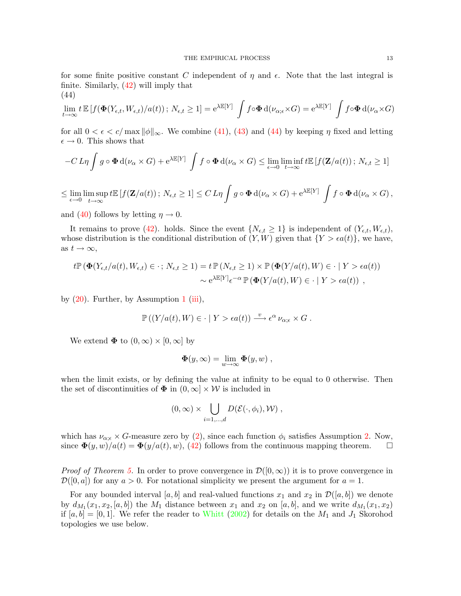for some finite positive constant C independent of  $\eta$  and  $\epsilon$ . Note that the last integral is finite. Similarly, [\(42\)](#page-11-0) will imply that (44)

<span id="page-12-0"></span>
$$
\lim_{t \to \infty} t \, \mathbb{E} \left[ f(\mathbf{\Phi}(Y_{\epsilon,t}, W_{\epsilon,t})/a(t)) \, ; \, N_{\epsilon,t} \ge 1 \right] = e^{\lambda \mathbb{E}[Y]} \int f \circ \mathbf{\Phi} \, d(\nu_{\alpha;\epsilon} \times G) = e^{\lambda \mathbb{E}[Y]} \int f \circ \mathbf{\Phi} \, d(\nu_{\alpha} \times G)
$$

for all  $0 < \epsilon < c/\max ||\phi||_{\infty}$ . We combine [\(41\)](#page-11-1), [\(43\)](#page-11-2) and [\(44\)](#page-12-0) by keeping  $\eta$  fixed and letting  $\epsilon \to 0$ . This shows that

$$
-C L\eta \int g \circ \Phi d(\nu_{\alpha} \times G) + e^{\lambda \mathbb{E}[Y]} \int f \circ \Phi d(\nu_{\alpha} \times G) \leq \lim_{\epsilon \to 0} \liminf_{t \to \infty} t \mathbb{E}[f(\mathbf{Z}/a(t)); N_{\epsilon,t} \geq 1]
$$

$$
\leq \lim_{\epsilon \to 0} \limsup_{t \to \infty} t \mathbb{E} \left[ f(\mathbf{Z}/a(t)) \, ; \, N_{\epsilon,t} \geq 1 \right] \leq C \, L \eta \int g \circ \mathbf{\Phi} \, d(\nu_{\alpha} \times G) + e^{\lambda \mathbb{E}[Y]} \int f \circ \mathbf{\Phi} \, d(\nu_{\alpha} \times G) \, ,
$$

and [\(40\)](#page-11-3) follows by letting  $\eta \to 0$ .

It remains to prove [\(42\)](#page-11-0). holds. Since the event  $\{N_{\epsilon,t} \geq 1\}$  is independent of  $(Y_{\epsilon,t}, W_{\epsilon,t})$ , whose distribution is the conditional distribution of  $(Y, W)$  given that  $\{Y > \epsilon a(t)\}\,$ , we have, as  $t \to \infty$ ,

$$
t\mathbb{P}(\Phi(Y_{\epsilon,t}/a(t),W_{\epsilon,t})\in\cdot; N_{\epsilon,t}\geq 1)=t\mathbb{P}(N_{\epsilon,t}\geq 1)\times\mathbb{P}(\Phi(Y/a(t),W)\in\cdot|Y>\epsilon a(t))
$$
  

$$
\sim e^{\lambda\mathbb{E}[Y]}\epsilon^{-\alpha}\mathbb{P}(\Phi(Y/a(t),W)\in\cdot|Y>\epsilon a(t)),
$$

by  $(20)$ . Further, by Assumption [1](#page-0-0) [\(iii\)](#page-0-1),

$$
\mathbb{P}\left(\left(Y/a(t),W\right)\in\cdot\mid Y>\epsilon a(t)\right)\stackrel{v}{\longrightarrow}\epsilon^{\alpha}\nu_{\alpha;\epsilon}\times G.
$$

We extend  $\Phi$  to  $(0, \infty) \times [0, \infty]$  by

$$
\mathbf{\Phi}(y,\infty) = \lim_{w \to \infty} \mathbf{\Phi}(y,w) ,
$$

when the limit exists, or by defining the value at infinity to be equal to 0 otherwise. Then the set of discontinuities of  $\Phi$  in  $(0, \infty] \times W$  is included in

$$
(0,\infty)\times\bigcup_{i=1,\dots,d}D(\mathcal{E}(\cdot,\phi_i),\mathcal{W}),
$$

which has  $\nu_{\alpha;\epsilon} \times G$ -measure zero by [\(2\)](#page-1-2), since each function  $\phi_i$  satisfies Assumption [2.](#page-3-0) Now, since  $\mathbf{\Phi}(y, w)/a(t) = \mathbf{\Phi}(y/a(t), w)$ , [\(42\)](#page-11-0) follows from the continuous mapping theorem.  $\Box$ 

*Proof of Theorem [5.](#page-4-0)* In order to prove convergence in  $\mathcal{D}([0,\infty))$  it is to prove convergence in  $\mathcal{D}([0, a])$  for any  $a > 0$ . For notational simplicity we present the argument for  $a = 1$ .

For any bounded interval [a, b] and real-valued functions  $x_1$  and  $x_2$  in  $\mathcal{D}([a, b])$  we denote by  $d_{M_1}(x_1, x_2, [a, b])$  the  $M_1$  distance between  $x_1$  and  $x_2$  on  $[a, b]$ , and we write  $d_{M_1}(x_1, x_2)$ if  $[a, b] = [0, 1]$ . We refer the reader to [Whitt](#page-16-14) [\(2002\)](#page-16-14) for details on the  $M_1$  and  $J_1$  Skorohod topologies we use below.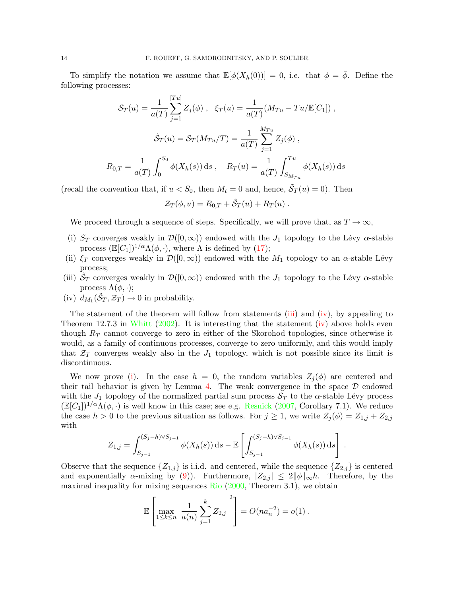To simplify the notation we assume that  $\mathbb{E}[\phi(X_h(0))] = 0$ , i.e. that  $\phi = \overline{\phi}$ . Define the following processes:

$$
\mathcal{S}_T(u) = \frac{1}{a(T)} \sum_{j=1}^{[Tu]} Z_j(\phi) , \quad \xi_T(u) = \frac{1}{a(T)} (M_{Tu} - Tu/\mathbb{E}[C_1]),
$$

$$
\tilde{\mathcal{S}}_T(u) = \mathcal{S}_T(M_{Tu}/T) = \frac{1}{a(T)} \sum_{j=1}^{M_{Tu}} Z_j(\phi) ,
$$

$$
R_{0,T} = \frac{1}{a(T)} \int_0^{S_0} \phi(X_h(s)) \, ds \,, \quad R_T(u) = \frac{1}{a(T)} \int_{S_{M_{Tu}}}^{Tu} \phi(X_h(s)) \, ds
$$

(recall the convention that, if  $u < S_0$ , then  $M_t = 0$  and, hence,  $\tilde{S}_T(u) = 0$ ). Then

$$
\mathcal{Z}_T(\phi, u) = R_{0,T} + \tilde{\mathcal{S}}_T(u) + R_T(u) .
$$

We proceed through a sequence of steps. Specifically, we will prove that, as  $T \to \infty$ ,

- <span id="page-13-2"></span>(i)  $S_T$  converges weakly in  $\mathcal{D}([0,\infty))$  endowed with the  $J_1$  topology to the Lévy  $\alpha$ -stable process  $(\mathbb{E}[C_1])^{1/\alpha}\Lambda(\phi,\cdot)$ , where  $\Lambda$  is defined by [\(17\)](#page-4-4);
- <span id="page-13-3"></span>(ii)  $\xi_T$  converges weakly in  $\mathcal{D}([0,\infty))$  endowed with the  $M_1$  topology to an  $\alpha$ -stable Lévy process;
- <span id="page-13-0"></span>(iii)  $\tilde{S}_T$  converges weakly in  $\mathcal{D}([0,\infty))$  endowed with the  $J_1$  topology to the Lévy  $\alpha$ -stable process  $\Lambda(\phi,\cdot);$
- <span id="page-13-1"></span>(iv)  $d_{M_1}(\tilde{S}_T, \mathcal{Z}_T) \to 0$  in probability.

The statement of the theorem will follow from statements [\(iii\)](#page-13-0) and [\(iv\)](#page-13-1), by appealing to Theorem 12.7.3 in [Whitt](#page-16-14)  $(2002)$ . It is interesting that the statement [\(iv\)](#page-13-1) above holds even though  $R_T$  cannot converge to zero in either of the Skorohod topologies, since otherwise it would, as a family of continuous processes, converge to zero uniformly, and this would imply that  $\mathcal{Z}_T$  converges weakly also in the  $J_1$  topology, which is not possible since its limit is discontinuous.

We now prove [\(i\)](#page-13-2). In the case  $h = 0$ , the random variables  $Z_j(\phi)$  are centered and their tail behavior is given by Lemma [4.](#page-4-1) The weak convergence in the space  $\mathcal D$  endowed with the  $J_1$  topology of the normalized partial sum process  $S_T$  to the  $\alpha$ -stable Lévy process  $(\mathbb{E}[C_1])^{1/\alpha}\Lambda(\phi,\cdot)$  is well know in this case; see e.g. [Resnick](#page-16-15) [\(2007,](#page-16-15) Corollary 7.1). We reduce the case  $h > 0$  to the previous situation as follows. For  $j \geq 1$ , we write  $Z_j(\phi) = Z_{1,j} + Z_{2,j}$ with

$$
Z_{1,j} = \int_{S_{j-1}}^{(S_j - h)\vee S_{j-1}} \phi(X_h(s)) ds - \mathbb{E}\left[\int_{S_{j-1}}^{(S_j - h)\vee S_{j-1}} \phi(X_h(s)) ds\right]
$$

.

Observe that the sequence  $\{Z_{1,j}\}\$ is i.i.d. and centered, while the sequence  $\{Z_{2,j}\}\$ is centered and exponentially  $\alpha$ -mixing by [\(9\)](#page-3-4)). Furthermore,  $|Z_{2,j}| \leq 2||\phi||_{\infty}h$ . Therefore, by the maximal inequality for mixing sequences [Rio](#page-16-13) [\(2000,](#page-16-13) Theorem 3.1), we obtain

$$
\mathbb{E}\left[\max_{1\leq k\leq n} \left|\frac{1}{a(n)}\sum_{j=1}^k Z_{2,j}\right|^2\right] = O(na_n^{-2}) = o(1).
$$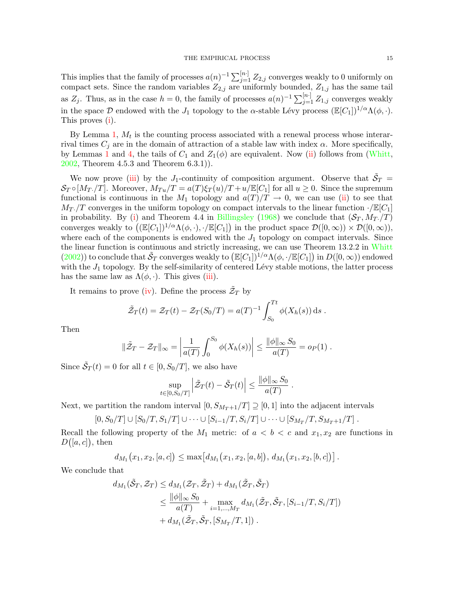This implies that the family of processes  $a(n)^{-1} \sum_{j=1}^{[n]} Z_{2,j}$  converges weakly to 0 uniformly on compact sets. Since the random variables  $Z_{2,j}$  are uniformly bounded,  $Z_{1,j}$  has the same tail as  $Z_j$ . Thus, as in the case  $h=0$ , the family of processes  $a(n)^{-1}\sum_{j=1}^{[n]}Z_{1,j}$  converges weakly in the space D endowed with the  $J_1$  topology to the α-stable Lévy process  $(\mathbb{E}[C_1])^{1/\alpha}\Lambda(\phi, \cdot)$ . This proves [\(i\)](#page-13-2).

By Lemma [1,](#page-2-1)  $M_t$  is the counting process associated with a renewal process whose interarrival times  $C_j$  are in the domain of attraction of a stable law with index  $\alpha$ . More specifically, by Lemmas [1](#page-2-1) and [4,](#page-4-1) the tails of  $C_1$  and  $Z_1(\phi)$  are equivalent. Now [\(ii\)](#page-13-3) follows from [\(Whitt,](#page-16-14) [2002,](#page-16-14) Theorem 4.5.3 and Theorem 6.3.1)).

We now prove [\(iii\)](#page-13-0) by the J<sub>1</sub>-continuity of composition argument. Observe that  $\tilde{S}_T$  =  $\mathcal{S}_T \circ [M_T]/T$ . Moreover,  $M_{Tu}/T = a(T)\xi_T(u)/T + u/\mathbb{E}[C_1]$  for all  $u \geq 0$ . Since the supremum functional is continuous in the  $M_1$  topology and  $a(T)/T \to 0$ , we can use [\(ii\)](#page-13-3) to see that  $M_T/T$  converges in the uniform topology on compact intervals to the linear function  $\sqrt{E}[C_1]$ in probability. By [\(i\)](#page-13-2) and Theorem 4.4 in [Billingsley](#page-16-16) [\(1968\)](#page-16-16) we conclude that  $(S_T, M_T, T)$ converges weakly to  $((\mathbb{E}[C_1])^{1/\alpha}\Lambda(\phi,\cdot),\cdot/\mathbb{E}[C_1])$  in the product space  $\mathcal{D}([0,\infty)) \times \mathcal{D}([0,\infty)),$ where each of the components is endowed with the  $J_1$  topology on compact intervals. Since the linear function is continuous and strictly increasing, we can use Theorem 13.2.2 in [Whitt](#page-16-14) [\(2002\)](#page-16-14)) to conclude that  $\tilde{S}_T$  converges weakly to  $(\mathbb{E}[C_1])^{1/\alpha}\Lambda(\phi,\cdot/\mathbb{E}[C_1])$  in  $D([0,\infty))$  endowed with the  $J_1$  topology. By the self-similarity of centered Lévy stable motions, the latter process has the same law as  $\Lambda(\phi, \cdot)$ . This gives [\(iii\)](#page-13-0).

It remains to prove [\(iv\)](#page-13-1). Define the process  $\tilde{\mathcal{Z}}_T$  by

$$
\tilde{Z}_T(t) = Z_T(t) - Z_T(S_0/T) = a(T)^{-1} \int_{S_0}^{Tt} \phi(X_h(s)) ds.
$$

Then

$$
\|\tilde{\mathcal{Z}}_T - \mathcal{Z}_T\|_{\infty} = \left|\frac{1}{a(T)} \int_0^{S_0} \phi(X_h(s))\right| \le \frac{\|\phi\|_{\infty} S_0}{a(T)} = o_P(1) .
$$

Since  $\tilde{S}_T(t) = 0$  for all  $t \in [0, S_0/T]$ , we also have

$$
\sup_{t\in[0,S_0/T]}\left|\tilde{\mathcal{Z}}_T(t)-\tilde{\mathcal{S}}_T(t)\right|\leq\frac{\|\phi\|_{\infty}S_0}{a(T)}.
$$

Next, we partition the random interval  $[0, S_{M_T+1}/T] \supseteq [0, 1]$  into the adjacent intervals

$$
[0, S_0/T] \cup [S_0/T, S_1/T] \cup \cdots \cup [S_{i-1}/T, S_i/T] \cup \cdots \cup [S_{M_T}/T, S_{M_T+1}/T].
$$

Recall the following property of the  $M_1$  metric: of  $a < b < c$  and  $x_1, x_2$  are functions in  $D([a, c]),$  then

$$
d_{M_1}(x_1, x_2, [a, c]) \le \max[d_{M_1}(x_1, x_2, [a, b]), d_{M_1}(x_1, x_2, [b, c])].
$$

We conclude that

$$
d_{M_1}(\tilde{S}_T, \mathcal{Z}_T) \leq d_{M_1}(\mathcal{Z}_T, \tilde{\mathcal{Z}}_T) + d_{M_1}(\tilde{\mathcal{Z}}_T, \tilde{S}_T)
$$
  
\$\leq \frac{\|\phi\|\_{\infty} S\_0}{a(T)} + \max\_{i=1,...,M\_T} d\_{M\_1}(\tilde{\mathcal{Z}}\_T, \tilde{S}\_T, [S\_{i-1}/T, S\_i/T])\$  
+ d\_{M\_1}(\tilde{\mathcal{Z}}\_T, \tilde{S}\_T, [S\_{M\_T}/T, 1]).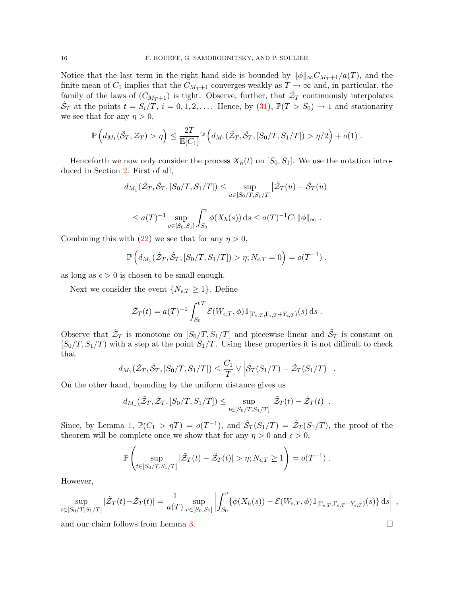Notice that the last term in the right hand side is bounded by  $\|\phi\|_{\infty}C_{M_T+1}/a(T)$ , and the finite mean of  $C_1$  implies that the  $C_{M_T+1}$  converges weakly as  $T \to \infty$  and, in particular, the family of the laws of  $(C_{M_T+1})$  is tight. Observe, further, that  $\tilde{\mathcal{Z}}_T$  continuously interpolates  $\tilde{S}_T$  at the points  $t = S_i/T$ ,  $i = 0, 1, 2, \ldots$ . Hence, by [\(31\)](#page-8-1),  $\mathbb{P}(T > S_0) \to 1$  and stationarity we see that for any  $\eta > 0$ ,

$$
\mathbb{P}\left(d_{M_1}(\tilde{S}_T, \mathcal{Z}_T) > \eta\right) \leq \frac{2T}{\mathbb{E}[C_1]} \mathbb{P}\left(d_{M_1}(\tilde{Z}_T, \tilde{S}_T, [S_0/T, S_1/T]) > \eta/2\right) + o(1) .
$$

Henceforth we now only consider the process  $X_h(t)$  on  $[S_0, S_1]$ . We use the notation introduced in Section [2.](#page-2-3) First of all,

$$
d_{M_1}(\tilde{\mathcal{Z}}_T, \tilde{\mathcal{S}}_T, [S_0/T, S_1/T]) \le \sup_{u \in [S_0/T, S_1/T]} |\tilde{\mathcal{Z}}_T(u) - \tilde{\mathcal{S}}_T(u)|
$$

$$
\leq a(T)^{-1} \sup_{v \in [S_0, S_1]} \int_{S_0}^v \phi(X_h(s)) ds \leq a(T)^{-1} C_1 ||\phi||_{\infty}.
$$

Combining this with [\(22\)](#page-6-2) we see that for any  $\eta > 0$ ,

$$
\mathbb{P}\left(d_{M_1}(\tilde{\mathcal{Z}}_T,\tilde{\mathcal{S}}_T,[S_0/T,S_1/T])>\eta;N_{\epsilon,T}=0\right)=o(T^{-1}),
$$

as long as  $\epsilon > 0$  is chosen to be small enough.

Next we consider the event  $\{N_{\epsilon,T} \geq 1\}$ . Define

$$
\tilde{\mathcal{Z}}_T(t) = a(T)^{-1} \int_{S_0}^{tT} \mathcal{E}(W_{\epsilon,T}, \phi) \mathbb{1}_{[\Gamma_{\epsilon,T}, \Gamma_{\epsilon,T} + Y_{\epsilon,T})}(s) ds.
$$

Observe that  $\check{\mathcal{Z}}_T$  is monotone on  $[S_0/T, S_1/T]$  and piecewise linear and  $\tilde{\mathcal{S}}_T$  is constant on  $[S_0/T, S_1/T]$  with a step at the point  $S_1/T$ . Using these properties it is not difficult to check that

$$
d_{M_1}(\tilde{\mathcal{Z}}_T, \tilde{\mathcal{S}}_T, [S_0/T, S_1/T]) \leq \frac{C_1}{T} \vee \left| \tilde{\mathcal{S}}_T(S_1/T) - \tilde{\mathcal{Z}}_T(S_1/T) \right| .
$$

On the other hand, bounding by the uniform distance gives us

$$
d_{M_1}(\tilde{\mathcal{Z}}_T, \tilde{\mathcal{Z}}_T, [S_0/T, S_1/T]) \le \sup_{t \in [S_0/T, S_1/T]} |\tilde{\mathcal{Z}}_T(t) - \tilde{\mathcal{Z}}_T(t)|.
$$

Since, by Lemma [1,](#page-2-1)  $\mathbb{P}(C_1 > \eta T) = o(T^{-1})$ , and  $\tilde{S}_T(S_1/T) = \tilde{Z}_T(S_1/T)$ , the proof of the theorem will be complete once we show that for any  $\eta > 0$  and  $\epsilon > 0$ ,

$$
\mathbb{P}\left(\sup_{t\in [S_0/T,S_1/T]}|\tilde{\mathcal{Z}}_T(t)-\tilde{\mathcal{Z}}_T(t)|>\eta;N_{\epsilon,T}\geq 1\right)=o(T^{-1})\;.
$$

However,

$$
\sup_{t\in [S_0/T, S_1/T]} |\tilde{\mathcal{Z}}_T(t) - \tilde{\mathcal{Z}}_T(t)| = \frac{1}{a(T)} \sup_{v\in [S_0, S_1]} \left| \int_{S_0}^v {\varphi(X_h(s)) - \mathcal{E}(W_{\epsilon,T}, \phi) \mathbb{1}_{[\Gamma_{\epsilon,T}, \Gamma_{\epsilon,T} + Y_{\epsilon,T})}(s) ds} \right|,
$$

and our claim follows from Lemma [3.](#page-3-1)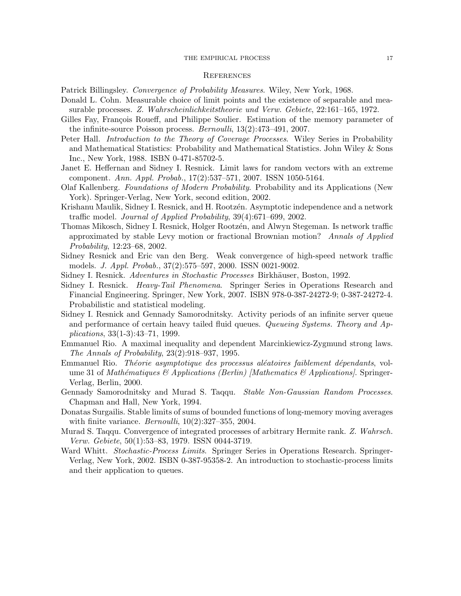#### THE EMPIRICAL PROCESS 17

#### **REFERENCES**

<span id="page-16-16"></span>Patrick Billingsley. Convergence of Probability Measures. Wiley, New York, 1968.

- <span id="page-16-3"></span>Donald L. Cohn. Measurable choice of limit points and the existence of separable and measurable processes. Z. Wahrscheinlichkeitstheorie und Verw. Gebiete, 22:161–165, 1972.
- <span id="page-16-1"></span>Gilles Fay, François Roueff, and Philippe Soulier. Estimation of the memory parameter of the infinite-source Poisson process. Bernoulli, 13(2):473–491, 2007.
- <span id="page-16-7"></span>Peter Hall. *Introduction to the Theory of Coverage Processes*. Wiley Series in Probability and Mathematical Statistics: Probability and Mathematical Statistics. John Wiley & Sons Inc., New York, 1988. ISBN 0-471-85702-5.
- <span id="page-16-0"></span>Janet E. Heffernan and Sidney I. Resnick. Limit laws for random vectors with an extreme component. Ann. Appl. Probab., 17(2):537–571, 2007. ISSN 1050-5164.
- <span id="page-16-2"></span>Olaf Kallenberg. Foundations of Modern Probability. Probability and its Applications (New York). Springer-Verlag, New York, second edition, 2002.
- <span id="page-16-5"></span>Krishanu Maulik, Sidney I. Resnick, and H. Rootzén. Asymptotic independence and a network traffic model. Journal of Applied Probability, 39(4):671–699, 2002.
- <span id="page-16-4"></span>Thomas Mikosch, Sidney I. Resnick, Holger Rootzén, and Alwyn Stegeman. Is network traffic approximated by stable Levy motion or fractional Brownian motion? Annals of Applied Probability, 12:23–68, 2002.
- <span id="page-16-6"></span>Sidney Resnick and Eric van den Berg. Weak convergence of high-speed network traffic models. J. Appl. Probab., 37(2):575–597, 2000. ISSN 0021-9002.
- <span id="page-16-12"></span>Sidney I. Resnick. Adventures in Stochastic Processes Birkhäuser, Boston, 1992.
- <span id="page-16-15"></span>Sidney I. Resnick. Heavy-Tail Phenomena. Springer Series in Operations Research and Financial Engineering. Springer, New York, 2007. ISBN 978-0-387-24272-9; 0-387-24272-4. Probabilistic and statistical modeling.
- <span id="page-16-11"></span>Sidney I. Resnick and Gennady Samorodnitsky. Activity periods of an infinite server queue and performance of certain heavy tailed fluid queues. Queueing Systems. Theory and Applications, 33(1-3):43–71, 1999.
- Emmanuel Rio. A maximal inequality and dependent Marcinkiewicz-Zygmund strong laws. The Annals of Probability, 23(2):918–937, 1995.
- <span id="page-16-13"></span>Emmanuel Rio. *Théorie asymptotique des processus aléatoires faiblement dépendants*, volume 31 of Mathématiques & Applications (Berlin) [Mathematics & Applications]. Springer-Verlag, Berlin, 2000.
- <span id="page-16-8"></span>Gennady Samorodnitsky and Murad S. Taqqu. Stable Non-Gaussian Random Processes. Chapman and Hall, New York, 1994.
- <span id="page-16-10"></span>Donatas Surgailis. Stable limits of sums of bounded functions of long-memory moving averages with finite variance.  $Bernoulli$ ,  $10(2):327-355$ ,  $2004$ .
- <span id="page-16-9"></span>Murad S. Taqqu. Convergence of integrated processes of arbitrary Hermite rank. Z. Wahrsch. Verw. Gebiete, 50(1):53–83, 1979. ISSN 0044-3719.
- <span id="page-16-14"></span>Ward Whitt. Stochastic-Process Limits. Springer Series in Operations Research. Springer-Verlag, New York, 2002. ISBN 0-387-95358-2. An introduction to stochastic-process limits and their application to queues.